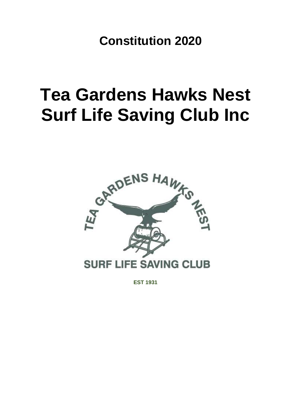**Constitution 2020**

# **Tea Gardens Hawks Nest Surf Life Saving Club Inc**



**EST 1931**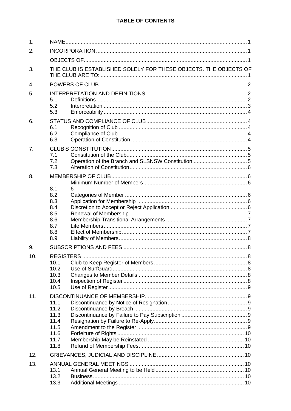# TABLE OF CONTENTS

| 1.             |                                                              |                                                                  |  |  |  |  |
|----------------|--------------------------------------------------------------|------------------------------------------------------------------|--|--|--|--|
| 2.             |                                                              |                                                                  |  |  |  |  |
|                |                                                              |                                                                  |  |  |  |  |
| 3.             |                                                              | THE CLUB IS ESTABLISHED SOLELY FOR THESE OBJECTS. THE OBJECTS OF |  |  |  |  |
| $\mathbf{4}$ . |                                                              |                                                                  |  |  |  |  |
| 5.             | 5.1<br>5.2<br>5.3                                            |                                                                  |  |  |  |  |
| 6.             | 6.1<br>6.2<br>6.3                                            |                                                                  |  |  |  |  |
| 7.             | 7.1<br>7.2<br>7.3                                            |                                                                  |  |  |  |  |
| 8.             | 8.1<br>8.2<br>8.3<br>8.4<br>8.5<br>8.6<br>8.7<br>8.8<br>8.9  | 6                                                                |  |  |  |  |
| 9.             |                                                              |                                                                  |  |  |  |  |
| 10.            | 10.1<br>10.2<br>10.3<br>10.4<br>10.5                         |                                                                  |  |  |  |  |
| 11.            | 11.1<br>11.2<br>11.3<br>11.4<br>11.5<br>11.6<br>11.7<br>11.8 |                                                                  |  |  |  |  |
| 12.            |                                                              |                                                                  |  |  |  |  |
| 13.            | 13.1<br>13.2<br>13.3                                         |                                                                  |  |  |  |  |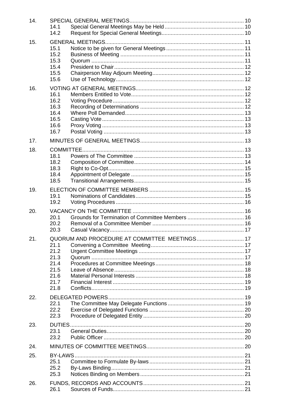| 14. | 14.1<br>14.2                                                 |                                               |  |
|-----|--------------------------------------------------------------|-----------------------------------------------|--|
| 15. | 15.1<br>15.2<br>15.3<br>15.4<br>15.5<br>15.6                 |                                               |  |
| 16. | 16.1<br>16.2<br>16.3<br>16.4<br>16.5<br>16.6<br>16.7         |                                               |  |
| 17. |                                                              |                                               |  |
| 18. | 18.1<br>18.2<br>18.3<br>18.4<br>18.5                         |                                               |  |
| 19. | 19.1<br>19.2                                                 |                                               |  |
| 20. | 20.1<br>20.2<br>20.3                                         |                                               |  |
| 21. | 21.1<br>21.2<br>21.3<br>21.4<br>21.5<br>21.6<br>21.7<br>21.8 | QUORUM AND PROCEDURE AT COMMITTEE MEETINGS 17 |  |
| 22. | 22.1<br>22.2<br>22.3                                         |                                               |  |
| 23. | 23.1<br>23.2                                                 |                                               |  |
| 24. |                                                              |                                               |  |
| 25. | 25.1<br>25.2<br>25.3                                         |                                               |  |
| 26. | 26.1                                                         |                                               |  |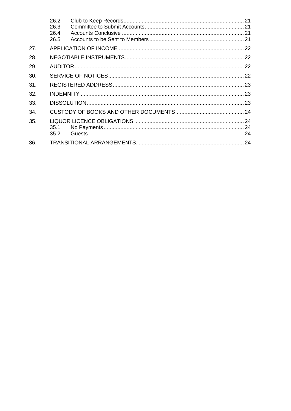|     | 26.2 |  |  |  |  |
|-----|------|--|--|--|--|
|     | 26.3 |  |  |  |  |
|     | 26.4 |  |  |  |  |
|     | 26.5 |  |  |  |  |
| 27. |      |  |  |  |  |
| 28. |      |  |  |  |  |
| 29. |      |  |  |  |  |
| 30. |      |  |  |  |  |
| 31. |      |  |  |  |  |
| 32. |      |  |  |  |  |
| 33. |      |  |  |  |  |
| 34. |      |  |  |  |  |
| 35. |      |  |  |  |  |
|     | 35.1 |  |  |  |  |
|     | 35.2 |  |  |  |  |
| 36. |      |  |  |  |  |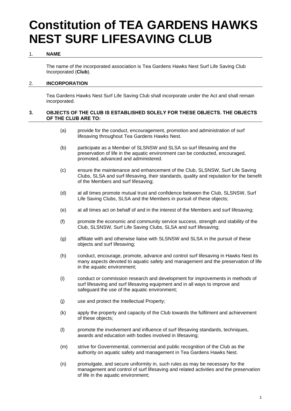# **Constitution of TEA GARDENS HAWKS NEST SURF LIFESAVING CLUB**

# 1. **NAME**

<span id="page-4-0"></span>The name of the incorporated association is Tea Gardens Hawks Nest Surf Life Saving Club Incorporated (**Club**).

# <span id="page-4-1"></span>2. **INCORPORATION**

Tea Gardens Hawks Nest Surf Life Saving Club shall incorporate under the Act and shall remain incorporated.

# <span id="page-4-2"></span>**3. OBJECTS OF THE CLUB IS ESTABLISHED SOLELY FOR THESE OBJECTS. THE OBJECTS OF THE CLUB ARE TO:**

- <span id="page-4-3"></span>(a) provide for the conduct, encouragement, promotion and administration of surf lifesaving throughout Tea Gardens Hawks Nest.
- (b) participate as a Member of SLSNSW and SLSA so surf lifesaving and the preservation of life in the aquatic environment can be conducted, encouraged, promoted, advanced and administered.
- (c) ensure the maintenance and enhancement of the Club, SLSNSW, Surf Life Saving Clubs, SLSA and surf lifesaving, their standards, quality and reputation for the benefit of the Members and surf lifesaving;
- (d) at all times promote mutual trust and confidence between the Club, SLSNSW, Surf Life Saving Clubs, SLSA and the Members in pursuit of these objects;
- (e) at all times act on behalf of and in the interest of the Members and surf lifesaving;
- (f) promote the economic and community service success, strength and stability of the Club, SLSNSW, Surf Life Saving Clubs, SLSA and surf lifesaving;
- (g) affiliate with and otherwise liaise with SLSNSW and SLSA in the pursuit of these objects and surf lifesaving;
- (h) conduct, encourage, promote, advance and control surf lifesaving in Hawks Nest its many aspects devoted to aquatic safety and management and the preservation of life in the aquatic environment;
- (i) conduct or commission research and development for improvements in methods of surf lifesaving and surf lifesaving equipment and in all ways to improve and safeguard the use of the aquatic environment;
- (j) use and protect the Intellectual Property;
- (k) apply the property and capacity of the Club towards the fulfilment and achievement of these objects;
- (l) promote the involvement and influence of surf lifesaving standards, techniques, awards and education with bodies involved in lifesaving;
- (m) strive for Governmental, commercial and public recognition of the Club as the authority on aquatic safety and management in Tea Gardens Hawks Nest.
- (n) promulgate, and secure uniformity in, such rules as may be necessary for the management and control of surf lifesaving and related activities and the preservation of life in the aquatic environment;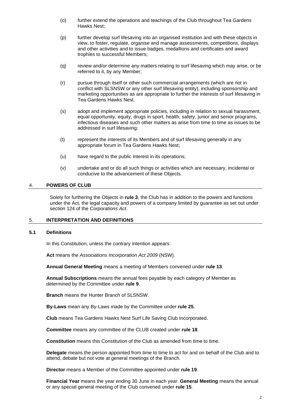- (o) further extend the operations and teachings of the Club throughout Tea Gardens Hawks Nest;
- (p) further develop surf lifesaving into an organised institution and with these objects in view, to foster, regulate, organise and manage assessments, competitions, displays and other activities and to issue badges, medallions and certificates and award trophies to successful Members;
- (q) review and/or determine any matters relating to surf lifesaving which may arise, or be referred to it, by any Member;
- (r) pursue through itself or other such commercial arrangements (which are not in conflict with SLSNSW or any other surf lifesaving entity), including sponsorship and marketing opportunities as are appropriate to further the interests of surf lifesaving in Tea Gardens Hawks Nest.
- (s) adopt and implement appropriate policies, including in relation to sexual harassment, equal opportunity, equity, drugs in sport, health, safety, junior and senior programs, infectious diseases and such other matters as arise from time to time as issues to be addressed in surf lifesaving;
- (t) represent the interests of its Members and of surf lifesaving generally in any appropriate forum in Tea Gardens Hawks Nest;
- (u) have regard to the public interest in its operations;
- (v) undertake and or do all such things or activities which are necessary, incidental or conducive to the advancement of these Objects.

# <span id="page-5-0"></span>4. **POWERS OF CLUB**

Solely for furthering the Objects in **rule 3**, the Club has in addition to the powers and functions under the Act, the legal capacity and powers of a company limited by guarantee as set out under section 124 of the *Corporations Act*.

# <span id="page-5-1"></span>5. **INTERPRETATION AND DEFINITIONS**

### <span id="page-5-2"></span>**5.1 Definitions**

In this Constitution, unless the contrary intention appears:

**Act** means the *Associations Incorporation Act 2009* (NSW).

**Annual General Meeting** means a meeting of Members convened under **rule [13](#page-13-4)**.

**Annual Subscriptions** means the annual fees payable by each category of Member as determined by the Committee under **rule [9](#page-11-1)**.

**Branch** means the Hunter Branch of SLSNSW.

**By-Laws** mean any By-Laws made by the Committee under **rule [25](#page-24-0)**.

**Club** means Tea Gardens Hawks Nest Surf Life Saving Club Incorporated.

**Committee** means any committee of the CLUB created under **rule 18**.

**Constitution** means this Constitution of the Club as amended from time to time.

**Delegate** means the person appointed from time to time to act for and on behalf of the Club and to attend, debate but not vote at general meetings of the Branch.

**Director** means a Member of the Committee appointed under **rule [19](#page-18-3)**.

**Financial Year** means the year ending 30 June in each year. **General Meeting** means the annual or any special general meeting of the Club convened under **rule [15](#page-14-0)**.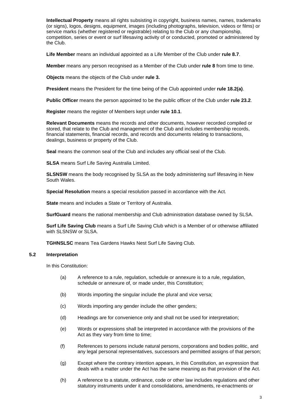**Intellectual Property** means all rights subsisting in copyright, business names, names, trademarks (or signs), logos, designs, equipment, images (including photographs, television, videos or films) or service marks (whether registered or registrable) relating to the Club or any championship, competition, series or event or surf lifesaving activity of or conducted, promoted or administered by the Club.

**Life Member** means an individual appointed as a Life Member of the Club under **rule [8.7](#page-10-2)**.

**Member** means any person recognised as a Member of the Club under **rule [8](#page-9-1)** from time to time.

**Objects** means the objects of the Club under **rule 3.**

**President** means the President for the time being of the Club appointed under **rule [18.2\(a\)](#page-17-1)**.

**Public Officer** means the person appointed to be the public officer of the Club under **rule 23.2**.

**Register** means the register of Members kept under **rule [10.1](#page-11-3)**.

**Relevant Documents** means the records and other documents, however recorded compiled or stored, that relate to the Club and management of the Club and includes membership records, financial statements, financial records, and records and documents relating to transactions, dealings, business or property of the Club.

**Seal** means the common seal of the Club and includes any official seal of the Club.

**SLSA** means Surf Life Saving Australia Limited.

**SLSNSW** means the body recognised by SLSA as the body administering surf lifesaving in New South Wales.

**Special Resolution** means a special resolution passed in accordance with the Act.

**State** means and includes a State or Territory of Australia.

**SurfGuard** means the national membership and Club administration database owned by SLSA.

**Surf Life Saving Club** means a Surf Life Saving Club which is a Member of or otherwise affiliated with SLSNSW or SLSA.

**TGHNSLSC** means Tea Gardens Hawks Nest Surf Life Saving Club.

#### <span id="page-6-0"></span>**5.2 Interpretation**

In this Constitution:

- (a) A reference to a rule, regulation, schedule or annexure is to a rule, regulation, schedule or annexure of, or made under, this Constitution;
- (b) Words importing the singular include the plural and vice versa;
- (c) Words importing any gender include the other genders;
- (d) Headings are for convenience only and shall not be used for interpretation;
- (e) Words or expressions shall be interpreted in accordance with the provisions of the Act as they vary from time to time;
- (f) References to persons include natural persons, corporations and bodies politic, and any legal personal representatives, successors and permitted assigns of that person;
- (g) Except where the contrary intention appears, in this Constitution, an expression that deals with a matter under the Act has the same meaning as that provision of the Act.
- (h) A reference to a statute, ordinance, code or other law includes regulations and other statutory instruments under it and consolidations, amendments, re-enactments or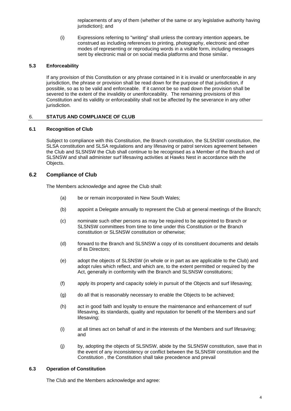replacements of any of them (whether of the same or any legislative authority having jurisdiction); and

(i) Expressions referring to "writing" shall unless the contrary intention appears, be construed as including references to printing, photography, electronic and other modes of representing or reproducing words in a visible form, including messages sent by electronic mail or on social media platforms and those similar.

# <span id="page-7-0"></span>**5.3 Enforceability**

If any provision of this Constitution or any phrase contained in it is invalid or unenforceable in any jurisdiction, the phrase or provision shall be read down for the purpose of that jurisdiction, if possible, so as to be valid and enforceable. If it cannot be so read down the provision shall be severed to the extent of the invalidity or unenforceability. The remaining provisions of this Constitution and its validity or enforceability shall not be affected by the severance in any other jurisdiction.

# <span id="page-7-1"></span>6. **STATUS AND COMPLIANCE OF CLUB**

# **6.1 Recognition of Club**

<span id="page-7-2"></span>Subject to compliance with this Constitution, the Branch constitution, the SLSNSW constitution, the SLSA constitution and SLSA regulations and any lifesaving or patrol services agreement between the Club and SLSNSW the Club shall continue to be recognised as a Member of the Branch and of SLSNSW and shall administer surf lifesaving activities at Hawks Nest in accordance with the Objects.

# <span id="page-7-3"></span>**6.2 Compliance of Club**

The Members acknowledge and agree the Club shall:

- (a) be or remain incorporated in New South Wales;
- (b) appoint a Delegate annually to represent the Club at general meetings of the Branch;
- (c) nominate such other persons as may be required to be appointed to Branch or SLSNSW committees from time to time under this Constitution or the Branch constitution or SLSNSW constitution or otherwise;
- (d) forward to the Branch and SLSNSW a copy of its constituent documents and details of its Directors;
- (e) adopt the objects of SLSNSW (in whole or in part as are applicable to the Club) and adopt rules which reflect, and which are, to the extent permitted or required by the Act, generally in conformity with the Branch and SLSNSW constitutions;
- (f) apply its property and capacity solely in pursuit of the Objects and surf lifesaving;
- (g) do all that is reasonably necessary to enable the Objects to be achieved;
- (h) act in good faith and loyalty to ensure the maintenance and enhancement of surf lifesaving, its standards, quality and reputation for benefit of the Members and surf lifesaving;
- (i) at all times act on behalf of and in the interests of the Members and surf lifesaving; and
- (j) by, adopting the objects of SLSNSW, abide by the SLSNSW constitution, save that in the event of any inconsistency or conflict between the SLSNSW constitution and the Constitution , the Constitution shall take precedence and prevail

# <span id="page-7-4"></span>**6.3 Operation of Constitution**

The Club and the Members acknowledge and agree: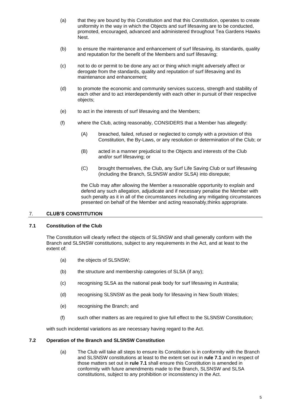- (a) that they are bound by this Constitution and that this Constitution, operates to create uniformity in the way in which the Objects and surf lifesaving are to be conducted, promoted, encouraged, advanced and administered throughout Tea Gardens Hawks Nest.
- (b) to ensure the maintenance and enhancement of surf lifesaving, its standards, quality and reputation for the benefit of the Members and surf lifesaving;
- (c) not to do or permit to be done any act or thing which might adversely affect or derogate from the standards, quality and reputation of surf lifesaving and its maintenance and enhancement;
- (d) to promote the economic and community services success, strength and stability of each other and to act interdependently with each other in pursuit of their respective objects;
- (e) to act in the interests of surf lifesaving and the Members;
- (f) where the Club, acting reasonably, CONSIDERS that a Member has allegedly:
	- (A) breached, failed, refused or neglected to comply with a provision of this Constitution, the By-Laws, or any resolution or determination of the Club; or
	- (B) acted in a manner prejudicial to the Objects and interests of the Club and/or surf lifesaving; or
	- (C) brought themselves, the Club, any Surf Life Saving Club or surf lifesaving (including the Branch, SLSNSW and/or SLSA) into disrepute;

the Club may after allowing the Member a reasonable opportunity to explain and defend any such allegation, adjudicate and if necessary penalise the Member with such penalty as it in all of the circumstances including any mitigating circumstances presented on behalf of the Member and acting reasonably,thinks appropriate.

# <span id="page-8-0"></span>7. **CLUB'S CONSTITUTION**

# <span id="page-8-1"></span>**7.1 Constitution of the Club**

The Constitution will clearly reflect the objects of SLSNSW and shall generally conform with the Branch and SLSNSW constitutions, subject to any requirements in the Act, and at least to the extent of:

- (a) the objects of SLSNSW;
- (b) the structure and membership categories of SLSA (if any);
- (c) recognising SLSA as the national peak body for surf lifesaving in Australia;
- (d) recognising SLSNSW as the peak body for lifesaving in New South Wales;
- (e) recognising the Branch; and
- (f) such other matters as are required to give full effect to the SLSNSW Constitution;

with such incidental variations as are necessary having regard to the Act.

#### <span id="page-8-2"></span>**7.2 Operation of the Branch and SLSNSW Constitution**

(a) The Club will take all steps to ensure its Constitution is in conformity with the Branch and SLSNSW constitutions at least to the extent set out in **rule [7.1](#page-8-1)** and in respect of those matters set out in **rule [7.1](#page-8-1)** shall ensure this Constitution is amended in conformity with future amendments made to the Branch, SLSNSW and SLSA constitutions, subject to any prohibition or inconsistency in the Act.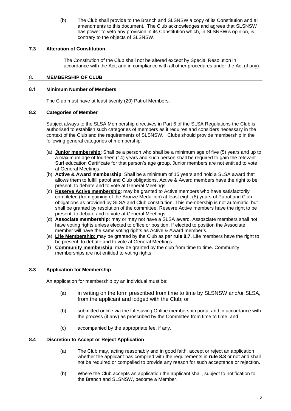(b) The Club shall provide to the Branch and SLSNSW a copy of its Constitution and all amendments to this document. The Club acknowledges and agrees that SLSNSW has power to veto any provision in its Constitution which, in SLSNSW's opinion, is contrary to the objects of SLSNSW.

# <span id="page-9-0"></span>**7.3 Alteration of Constitution**

<span id="page-9-3"></span>The Constitution of the Club shall not be altered except by Special Resolution in accordance with the Act, and in compliance with all other procedures under the Act (if any).

# <span id="page-9-1"></span>8. **MEMBERSHIP OF CLUB**

# <span id="page-9-2"></span>**8.1 Minimum Number of Members**

The Club must have at least twenty (20) Patrol Members.

# <span id="page-9-4"></span>**8.2 Categories of Member**

Subject always to the SLSA Membership directives in Part 6 of the SLSA Regulations the Club is authorised to establish such categories of members as it requires and considers necessary in the context of the Club and the requirements of SLSNSW. Clubs should provide membership in the following general categories of membership:

- (a) **Junior membership**: Shall be a person who shall be a minimum age of five (5) years and up to a maximum age of fourteen (14) years and such person shall be required to gain the relevant Surf education Certificate for that person's age group. Junior members are not entitled to vote at General Meetings.
- (b) **Active & Award membership**: Shall be a minimum of 15 years and hold a SLSA award that allows them to fulfill patrol and Club obligations. Active & Award members have the right to be present, to debate and to vote at General Meetings.
- (c) **Reserve Active membership**: may be granted to Active members who have satisfactorily completed (from gaining of the Bronze Medallion) at least eight (8) years of Patrol and Club obligations as provided by SLSA and Club constitution. This membership is not automatic, but shall be granted by resolution of the committee. Resevre Active members have the right to be present, to debate and to vote at General Meetings.
- (d) **Associate membership**: may or may not have a SLSA award. Assosciate members shall not have voting rights unless elected to office or position. If elected to position the Associate member will have the same voting rights as Active & Award member's.
- (e) **Life Membership:** may be granted by the Club as per **rule 8.7.** Life members have the right to be present, to debate and to vote at General Meetings.
- (f) **Community membership**: may be granted by the club from time to time. Community memberships are not entitled to voting rights.

# <span id="page-9-5"></span>**8.3 Application for Membership**

An application for membership by an individual must be:

- (a) in writing on the form prescribed from time to time by SLSNSW and/or SLSA, from the applicant and lodged with the Club; or
- (b) submitted online via the Lifesaving Online membership portal and in accordance with the process (if any) as proscribed by the Committee from time to time; and
- (c) accompanied by the appropriate fee, if any.

# <span id="page-9-6"></span>**8.4 Discretion to Accept or Reject Application**

- (a) The Club may, acting reasonably and in good faith, accept or reject an application whether the applicant has complied with the requirements in **rule [8.3](#page-9-5)** or not and shall not be required or compelled to provide any reason for such acceptance or rejection.
- (b) Where the Club accepts an application the applicant shall, subject to notification to the Branch and SLSNSW, become a Member.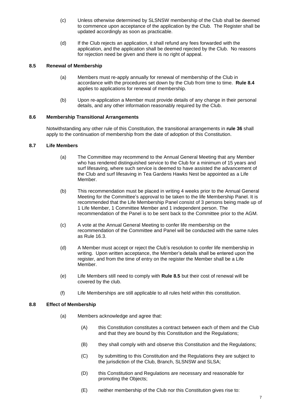- (c) Unless otherwise determined by SLSNSW membership of the Club shall be deemed to commence upon acceptance of the application by the Club. The Register shall be updated accordingly as soon as practicable.
- (d) If the Club rejects an application, it shall refund any fees forwarded with the application, and the application shall be deemed rejected by the Club. No reasons for rejection need be given and there is no right of appeal.

# <span id="page-10-0"></span>**8.5 Renewal of Membership**

- (a) Members must re-apply annually for renewal of membership of the Club in accordance with the procedures set down by the Club from time to time. **Rule 8.4** applies to applications for renewal of membership.
- (b) Upon re-application a Member must provide details of any change in their personal details, and any other information reasonably required by the Club.

# <span id="page-10-1"></span>**8.6 Membership Transitional Arrangements**

Notwithstanding any other rule of this Constitution, the transitional arrangements in **rule 36** shall apply to the continuation of membership from the date of adoption of this Constitution.

# <span id="page-10-2"></span>**8.7 Life Members**

- (a) The Committee may recommend to the Annual General Meeting that any Member who has rendered distinguished service to the Club for a minimum of 15 years and surf lifesaving, where such service is deemed to have assisted the advancement of the Club and surf lifesaving in Tea Gardens Hawks Nest be appointed as a Life Member.
- (b) This recommendation must be placed in writing 4 weeks prior to the Annual General Meeting for the Committee's approval to be taken to the life Membership Panel. It is recommended that the Life Membership Panel consist of 3 persons being made up of 1 Life Member, 1 Committee Member and 1 independent person. The recommendation of the Panel is to be sent back to the Committee prior to the AGM.
- (c) A vote at the Annual General Meeting to confer life membership on the recommendation of the Committee and Panel will be conducted with the same rules as Rule 16.3.
- (d) A Member must accept or reject the Club's resolution to confer life membership in writing. Upon written acceptance, the Member's details shall be entered upon the register, and from the time of entry on the register the Member shall be a Life Member.
- (e) Life Members still need to comply with **Rule 8.5** but their cost of renewal will be covered by the club.
- (f) Life Memberships are still applicable to all rules held within this constitution.

# <span id="page-10-3"></span>**8.8 Effect of Membership**

- (a) Members acknowledge and agree that:
	- (A) this Constitution constitutes a contract between each of them and the Club and that they are bound by this Constitution and the Regulations;
	- (B) they shall comply with and observe this Constitution and the Regulations;
	- (C) by submitting to this Constitution and the Regulations they are subject to the jurisdiction of the Club, Branch, SLSNSW and SLSA;
	- (D) this Constitution and Regulations are necessary and reasonable for promoting the Objects;
	- (E) neither membership of the Club nor this Constitution gives rise to: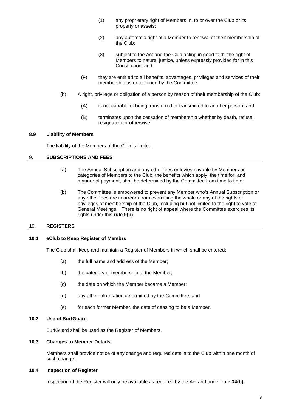- (1) any proprietary right of Members in, to or over the Club or its property or assets;
- (2) any automatic right of a Member to renewal of their membership of the Club;
- (3) subject to the Act and the Club acting in good faith, the right of Members to natural justice, unless expressly provided for in this Constitution; and
- (F) they are entitled to all benefits, advantages, privileges and services of their membership as determined by the Committee.
- (b) A right, privilege or obligation of a person by reason of their membership of the Club:
	- (A) is not capable of being transferred or transmitted to another person; and
	- (B) terminates upon the cessation of membership whether by death, refusal, resignation or otherwise.

#### <span id="page-11-0"></span>**8.9 Liability of Members**

The liability of the Members of the Club is limited.

# <span id="page-11-1"></span>9. **SUBSCRIPTIONS AND FEES**

- (a) The Annual Subscription and any other fees or levies payable by Members or categories of Members to the Club, the benefits which apply, the time for, and manner of payment, shall be determined by the Committee from time to time.
- (b) The Committee Is empowered to prevent any Member who's Annual Subscription or any other fees are in arrears from exercising the whole or any of the rights or privileges of membership of the Club, including but not limited to the right to vote at General Meetings. There is no right of appeal where the Committee exercises its rights under this **rule 9(b)**.

# <span id="page-11-2"></span>10. **REGISTERS**

#### <span id="page-11-3"></span>**10.1 eClub to Keep Register of Membrs**

The Club shall keep and maintain a Register of Members in which shall be entered:

- (a) the full name and address of the Member;
- (b) the category of membership of the Member;
- (c) the date on which the Member became a Member;
- (d) any other information determined by the Committee; and
- (e) for each former Member, the date of ceasing to be a Member.

# <span id="page-11-7"></span><span id="page-11-4"></span>**10.2 Use of SurfGuard**

SurfGuard shall be used as the Register of Members.

#### <span id="page-11-5"></span>**10.3 Changes to Member Details**

Members shall provide notice of any change and required details to the Club within one month of such change.

#### <span id="page-11-6"></span>**10.4 Inspection of Register**

Inspection of the Register will only be available as required by the Act and under **rule [34\(b\)](#page-27-4)**.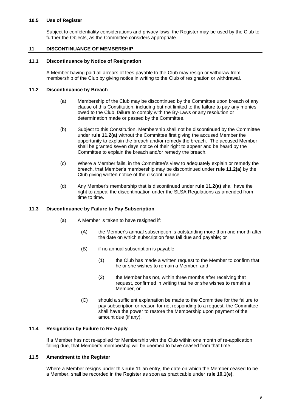# <span id="page-12-0"></span>**10.5 Use of Register**

Subject to confidentiality considerations and privacy laws, the Register may be used by the Club to further the Objects, as the Committee considers appropriate.

### <span id="page-12-1"></span>11. **DISCONTINUANCE OF MEMBERSHIP**

#### <span id="page-12-2"></span>**11.1 Discontinuance by Notice of Resignation**

A Member having paid all arrears of fees payable to the Club may resign or withdraw from membership of the Club by giving notice in writing to the Club of resignation or withdrawal.

#### <span id="page-12-7"></span><span id="page-12-3"></span>**11.2 Discontinuance by Breach**

- (a) Membership of the Club may be discontinued by the Committee upon breach of any clause of this Constitution, including but not limited to the failure to pay any monies owed to the Club, failure to comply with the By-Laws or any resolution or determination made or passed by the Committee.
- (b) Subject to this Constitution, Membership shall not be discontinued by the Committee under **rule [11.2\(a\)](#page-12-7)** without the Committee first giving the accused Member the opportunity to explain the breach and/or remedy the breach. The accused Member shall be granted seven days notice of their right to appear and be heard by the Committee to explain the breach and/or remedy the breach.
- (c) Where a Member fails, in the Committee's view to adequately explain or remedy the breach, that Member's membership may be discontinued under **rule [11.2\(a\)](#page-12-7)** by the Club giving written notice of the discontinuance.
- (d) Any Member's membership that is discontinued under **rule [11.2\(a\)](#page-12-7)** shall have the right to appeal the discontinuation under the SLSA Regulations as amended from time to time.

#### <span id="page-12-4"></span>**11.3 Discontinuance by Failure to Pay Subscription**

- (a) A Member is taken to have resigned if:
	- (A) the Member's annual subscription is outstanding more than one month after the date on which subscription fees fall due and payable; or
	- (B) if no annual subscription is payable:
		- (1) the Club has made a written request to the Member to confirm that he or she wishes to remain a Member; and
		- (2) the Member has not, within three months after receiving that request, confirmed in writing that he or she wishes to remain a Member, or
	- (C) should a sufficient explanation be made to the Committee for the failure to pay subscription or reason for not responding to a request, the Committee shall have the power to restore the Membership upon payment of the amount due (if any).

# <span id="page-12-5"></span>**11.4 Resignation by Failure to Re-Apply**

If a Member has not re-applied for Membership with the Club within one month of re-application falling due, that Member's membership will be deemed to have ceased from that time.

# <span id="page-12-6"></span>**11.5 Amendment to the Register**

Where a Member resigns under this **rule [11](#page-12-1)** an entry, the date on which the Member ceased to be a Member, shall be recorded in the Register as soon as practicable under **rule [10.1\(e\)](#page-11-7)**.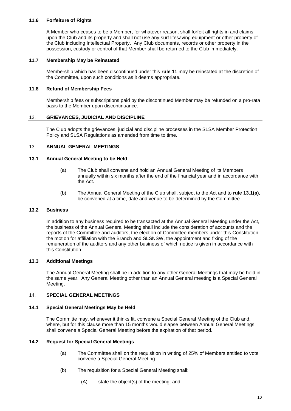# <span id="page-13-0"></span>**11.6 Forfeiture of Rights**

A Member who ceases to be a Member, for whatever reason, shall forfeit all rights in and claims upon the Club and its property and shall not use any surf lifesaving equipment or other property of the Club including Intellectual Property. Any Club documents, records or other property in the possession, custody or control of that Member shall be returned to the Club immediately.

#### <span id="page-13-1"></span>**11.7 Membership May be Reinstated**

Membership which has been discontinued under this **rule [11](#page-12-1)** may be reinstated at the discretion of the Committee, upon such conditions as it deems appropriate.

#### <span id="page-13-2"></span>**11.8 Refund of Membership Fees**

Membership fees or subscriptions paid by the discontinued Member may be refunded on a pro-rata basis to the Member upon discontinuance.

#### <span id="page-13-3"></span>12. **GRIEVANCES, JUDICIAL AND DISCIPLINE**

The Club adopts the grievances, judicial and discipline processes in the SLSA Member Protection Policy and SLSA Regulations as amended from time to time.

#### <span id="page-13-4"></span>13. **ANNUAL GENERAL MEETINGS**

#### <span id="page-13-11"></span><span id="page-13-5"></span>**13.1 Annual General Meeting to be Held**

- (a) The Club shall convene and hold an Annual General Meeting of its Members annually within six months after the end of the financial year and in accordance with the Act.
- (b) The Annual General Meeting of the Club shall, subject to the Act and to **rule [13.1\(a\)](#page-13-11)**, be convened at a time, date and venue to be determined by the Committee.

#### <span id="page-13-6"></span>**13.2 Business**

In addition to any business required to be transacted at the Annual General Meeting under the Act, the business of the Annual General Meeting shall include the consideration of accounts and the reports of the Committee and auditors, the election of Committee members under this Constitution, the motion for affiliation with the Branch and SLSNSW, the appointment and fixing of the remuneration of the auditors and any other business of which notice is given in accordance with this Constitution.

### <span id="page-13-7"></span>**13.3 Additional Meetings**

The Annual General Meeting shall be in addition to any other General Meetings that may be held in the same year. Any General Meeting other than an Annual General meeting is a Special General Meeting.

# <span id="page-13-8"></span>14. **SPECIAL GENERAL MEETINGS**

#### <span id="page-13-9"></span>**14.1 Special General Meetings May be Held**

The Committe may, whenever it thinks fit, convene a Special General Meeting of the Club and, where, but for this clause more than 15 months would elapse between Annual General Meetings, shall convene a Special General Meeting before the expiration of that period.

#### <span id="page-13-10"></span>**14.2 Request for Special General Meetings**

- (a) The Committee shall on the requisition in writing of 25% of Members entitled to vote convene a Special General Meeting.
- (b) The requisition for a Special General Meeting shall:
	- (A) state the object(s) of the meeting; and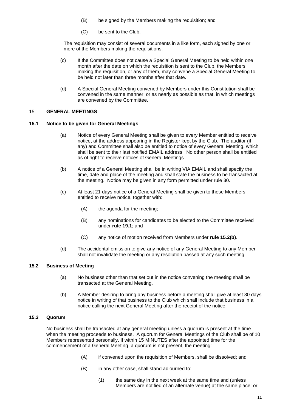- (B) be signed by the Members making the requisition; and
- (C) be sent to the Club.

The requisition may consist of several documents in a like form, each signed by one or more of the Members making the requisitions.

- (c) If the Committee does not cause a Special General Meeting to be held within one month after the date on which the requisition is sent to the Club, the Members making the requisition, or any of them, may convene a Special General Meeting to be held not later than three months after that date.
- (d) A Special General Meeting convened by Members under this Constitution shall be convened in the same manner, or as nearly as possible as that, in which meetings are convened by the Committee.

#### <span id="page-14-0"></span>15. **GENERAL MEETINGS**

#### <span id="page-14-1"></span>**15.1 Notice to be given for General Meetings**

- (a) Notice of every General Meeting shall be given to every Member entitled to receive notice, at the address appearing in the Register kept by the Club. The auditor (if any) and Committee shall also be entitled to notice of every General Meeting, which shall be sent to their last notified EMAIL address. No other person shall be entitled as of right to receive notices of General Meetings.
- (b) A notice of a General Meeting shall be in writing VIA EMAIL and shall specify the time, date and place of the meeting and shall state the business to be transacted at the meeting. Notice may be given in any form permitted under rule 30.
- (c) At least 21 days notice of a General Meeting shall be given to those Members entitled to receive notice, together with:
	- (A) the agenda for the meeting;
	- (B) any nominations for candidates to be elected to the Committee received under **rule [19.1](#page-18-4)**; and
	- (C) any notice of motion received from Members under **rule [15.2\(b\)](#page-14-4)**.
- (d) The accidental omission to give any notice of any General Meeting to any Member shall not invalidate the meeting or any resolution passed at any such meeting.

#### <span id="page-14-2"></span>**15.2 Business of Meeting**

- (a) No business other than that set out in the notice convening the meeting shall be transacted at the General Meeting.
- (b) A Member desiring to bring any business before a meeting shall give at least 30 days notice in writing of that business to the Club which shall include that business in a notice calling the next General Meeting after the receipt of the notice.

#### <span id="page-14-4"></span><span id="page-14-3"></span>**15.3 Quorum**

No business shall be transacted at any general meeting unless a quorum is present at the time when the meeting proceeds to business. A quorum for General Meetings of the Club shall be of 10 Members represented personally. If within 15 MINUTES after the appointed time for the commencement of a General Meeting, a quorum is not present, the meeting:

- (A) if convened upon the requisition of Members, shall be dissolved; and
- (B) in any other case, shall stand adjourned to:
	- (1) the same day in the next week at the same time and (unless Members are notified of an alternate venue) at the same place; or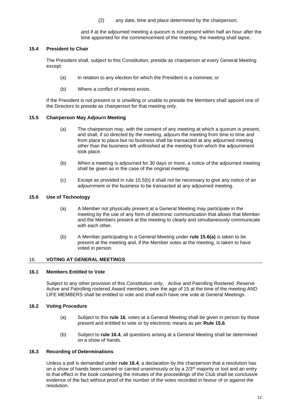(2) any date, time and place determined by the chairperson;

and if at the adjourned meeting a quorum is not present within half an hour after the time appointed for the commencement of the meeting, the meeting shall lapse.

# <span id="page-15-0"></span>**15.4 President to Chair**

The President shall, subject to this Constitution, preside as chairperson at every General Meeting except:

- (a) In relation to any election for which the President is a nominee; or
- (b) Where a conflict of interest exists.

If the President is not present or is unwilling or unable to preside the Members shall appoint one of the Directors to preside as chairperson for that meeting only.

# <span id="page-15-1"></span>**15.5 Chairperson May Adjourn Meeting**

- (a) The chairperson may, with the consent of any meeting at which a quorum is present, and shall, if so directed by the meeting, adjourn the meeting from time to time and from place to place but no business shall be transacted at any adjourned meeting other than the business left unfinished at the meeting from which the adjournment took place.
- <span id="page-15-7"></span>(b) When a meeting is adjourned for 30 days or more, a notice of the adjourned meeting shall be given as in the case of the original meeting.
- (c) Except as provided in rule [15.5\(b\)](#page-15-7) it shall not be necessary to give any notice of an adjournment or the business to be transacted at any adjourned meeting.

# <span id="page-15-8"></span><span id="page-15-2"></span>**15.6 Use of Technology**

- (a) A Member not physically present at a General Meeting may participate in the meeting by the use of any form of electronic communication that allows that Member and the Members present at the meeting to clearly and simultaneously communicate with each other.
- (b) A Member participating in a General Meeting under **rule [15.6\(a\)](#page-15-8)** is taken to be present at the meeting and, if the Member votes at the meeting, is taken to have voted in person.

# <span id="page-15-3"></span>16. **VOTING AT GENERAL MEETINGS**

# <span id="page-15-4"></span>**16.1 Members Entitled to Vote**

Subject to any other provision of this Constitution only, Active and Patrolling Rostered Reserve Active and Patrolling rostered Award members, over the age of 15 at the time of the meeting AND LIFE MEMBERS shall be entitled to vote and shall each have one vote at General Meetings.

# <span id="page-15-5"></span>**16.2 Voting Procedure**

- (a) Subject to this **rule [16](#page-15-3)**, votes at a General Meeting shall be given in person by those present and entitled to vote or by electronic means as per **Rule 15.6**.
- (b) Subject to **rule [16.4](#page-16-0)**, all questions arising at a General Meeting shall be determined on a show of hands.

# <span id="page-15-6"></span>**16.3 Recording of Determinations**

Unless a poll is demanded under **rule [16.4](#page-16-0)**, a declaration by the chairperson that a resolution has on a show of hands been carried or carried unanimously or by a 2/3<sup>rd</sup> majority or lost and an entry to that effect in the book containing the minutes of the proceedings of the Club shall be conclusive evidence of the fact without proof of the number of the votes recorded in favour of or against the resolution.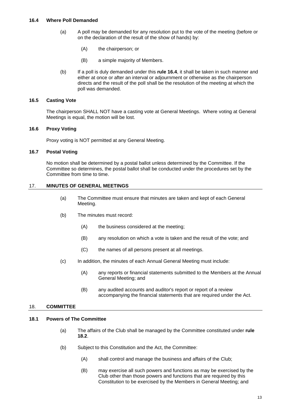- <span id="page-16-0"></span>(a) A poll may be demanded for any resolution put to the vote of the meeting (before or on the declaration of the result of the show of hands) by:
	- (A) the chairperson; or
	- (B) a simple majority of Members.
- (b) If a poll is duly demanded under this **rule [16.4](#page-16-0)**, it shall be taken in such manner and either at once or after an interval or adjournment or otherwise as the chairperson directs and the result of the poll shall be the resolution of the meeting at which the poll was demanded.

#### <span id="page-16-1"></span>**16.5 Casting Vote**

The chairperson SHALL NOT have a casting vote at General Meetings. Where voting at General Meetings is equal, the motion will be lost.

#### <span id="page-16-2"></span>**16.6 Proxy Voting**

Proxy voting is NOT permitted at any General Meeting.

#### <span id="page-16-3"></span>**16.7 Postal Voting**

No motion shall be determined by a postal ballot unless determined by the Committee. If the Committee so determines, the postal ballot shall be conducted under the procedures set by the Committee from time to time.

#### <span id="page-16-4"></span>17. **MINUTES OF GENERAL MEETINGS**

- (a) The Committee must ensure that minutes are taken and kept of each General Meeting.
- (b) The minutes must record:
	- (A) the business considered at the meeting;
	- (B) any resolution on which a vote is taken and the result of the vote; and
	- (C) the names of all persons present at all meetings.
- (c) In addition, the minutes of each Annual General Meeting must include:
	- (A) any reports or financial statements submitted to the Members at the Annual General Meeting; and
	- (B) any audited accounts and auditor's report or report of a review accompanying the financial statements that are required under the Act.

#### <span id="page-16-5"></span>18. **COMMITTEE**

# <span id="page-16-6"></span>**18.1 Powers of The Committee**

- (a) The affairs of the Club shall be managed by the Committee constituted under **rule [18.2](#page-17-0)**.
- (b) Subject to this Constitution and the Act, the Committee:
	- (A) shall control and manage the business and affairs of the Club;
	- (B) may exercise all such powers and functions as may be exercised by the Club other than those powers and functions that are required by this Constitution to be exercised by the Members in General Meeting; and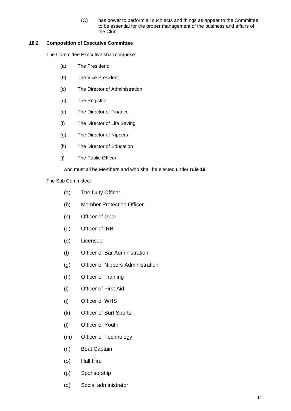(C) has power to perform all such acts and things as appear to the Committee to be essential for the proper management of the business and affairs of the Club.

# <span id="page-17-0"></span>**18.2 Composition of Executive Committee**

<span id="page-17-1"></span>The Committee Executive shall comprise:

- (a) The President;
- (b) The Vice President
- (c) The Director of Administration
- (d) The Registrar
- (e) The Director of Finance
- (f) The Director of Life Saving
- (g) The Director of Nippers
- (h) The Director of Education
- (i) The Public Officer

who must all be Members and who shall be elected under **rule [19](#page-18-3)**.

The Sub Committee:

- (a) The Duty Officer
- (b) Member Protection Officer
- (c) Officer of Gear
- (d) Officer of IRB
- (e) Licensee
- (f) Officer of Bar Administration
- (g) Officer of Nippers Administration
- (h) Officer of Training
- (i) Officer of First Aid
- (j) Officer of WHS
- (k) Officer of Surf Sports
- (l) Officer of Youth
- (m) Officer of Technology
- (n) Boat Captain
- (o) Hall Hire
- (p) Sponsorship
- (q) Social administrator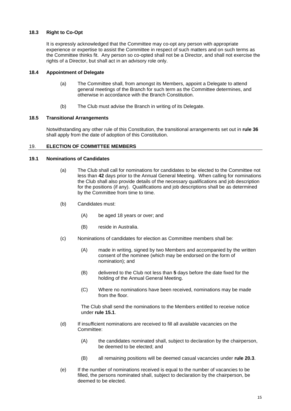# <span id="page-18-0"></span>**18.3 Right to Co-Opt**

It is expressly acknowledged that the Committee may co-opt any person with appropriate experience or expertise to assist the Committee in respect of such matters and on such terms as the Committee thinks fit. Any person so co-opted shall not be a Director, and shall not exercise the rights of a Director, but shall act in an advisory role only.

# <span id="page-18-1"></span>**18.4 Appointment of Delegate**

- (a) The Committee shall, from amongst its Members, appoint a Delegate to attend general meetings of the Branch for such term as the Committee determines, and otherwise in accordance with the Branch Constitution.
- (b) The Club must advise the Branch in writing of its Delegate.

#### <span id="page-18-2"></span>**18.5 Transitional Arrangements**

Notwithstanding any other rule of this Constitution, the transitional arrangements set out in **rule 36**  shall apply from the date of adoption of this Constitution.

#### <span id="page-18-3"></span>19. **ELECTION OF COMMITTEE MEMBERS**

#### <span id="page-18-4"></span>**19.1 Nominations of Candidates**

- (a) The Club shall call for nominations for candidates to be elected to the Committee not less than **42** days prior to the Annual General Meeting. When calling for nominations the Club shall also provide details of the necessary qualifications and job description for the positions (if any). Qualifications and job descriptions shall be as determined by the Committee from time to time.
- (b) Candidates must:
	- (A) be aged 18 years or over; and
	- (B) reside in Australia.
- (c) Nominations of candidates for election as Committee members shall be:
	- (A) made in writing, signed by two Members and accompanied by the written consent of the nominee (which may be endorsed on the form of nomination); and
	- (B) delivered to the Club not less than **5** days before the date fixed for the holding of the Annual General Meeting.
	- (C) Where no nominations have been received, nominations may be made from the floor.

The Club shall send the nominations to the Members entitled to receive notice under **rule [15.1](#page-14-1)**.

- (d) If insufficient nominations are received to fill all available vacancies on the Committee:
	- (A) the candidates nominated shall, subject to declaration by the chairperson, be deemed to be elected; and
	- (B) all remaining positions will be deemed casual vacancies under **rule [20.3](#page-20-0)**.
- (e) If the number of nominations received is equal to the number of vacancies to be filled, the persons nominated shall, subject to declaration by the chairperson, be deemed to be elected.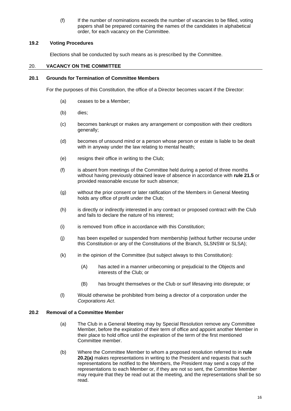(f) If the number of nominations exceeds the number of vacancies to be filled, voting papers shall be prepared containing the names of the candidates in alphabetical order, for each vacancy on the Committee.

# <span id="page-19-0"></span>**19.2 Voting Procedures**

Elections shall be conducted by such means as is prescribed by the Committee.

# <span id="page-19-1"></span>20. **VACANCY ON THE COMMITTEE**

# <span id="page-19-2"></span>**20.1 Grounds for Termination of Committee Members**

For the purposes of this Constitution, the office of a Director becomes vacant if the Director:

- (a) ceases to be a Member;
- (b) dies;
- (c) becomes bankrupt or makes any arrangement or composition with their creditors generally;
- (d) becomes of unsound mind or a person whose person or estate is liable to be dealt with in anyway under the law relating to mental health;
- (e) resigns their office in writing to the Club;
- (f) is absent from meetings of the Committee held during a period of three months without having previously obtained leave of absence in accordance with **rule [21.5](#page-21-1)** or provided reasonable excuse for such absence;
- (g) without the prior consent or later ratification of the Members in General Meeting holds any office of profit under the Club;
- (h) is directly or indirectly interested in any contract or proposed contract with the Club and fails to declare the nature of his interest;
- (i) is removed from office in accordance with this Constitution;
- (j) has been expelled or suspended from membership (without further recourse under this Constitution or any of the Constitutions of the Branch, SLSNSW or SLSA);
- (k) in the opinion of the Committee (but subject always to this Constitution):
	- (A) has acted in a manner unbecoming or prejudicial to the Objects and interests of the Club; or
	- (B) has brought themselves or the Club or surf lifesaving into disrepute; or
- (l) Would otherwise be prohibited from being a director of a corporation under the *Corporations Act*.

# <span id="page-19-4"></span><span id="page-19-3"></span>**20.2 Removal of a Committee Member**

- (a) The Club in a General Meeting may by Special Resolution remove any Committee Member, before the expiration of their term of office and appoint another Member in their place to hold office until the expiration of the term of the first mentioned Committee member.
- (b) Where the Committee Member to whom a proposed resolution referred to in **rule [20.2](#page-19-3)[\(a\)](#page-19-4)** makes representations in writing to the President and requests that such representations be notified to the Members, the President may send a copy of the representations to each Member or, if they are not so sent, the Committee Member may require that they be read out at the meeting, and the representations shall be so read.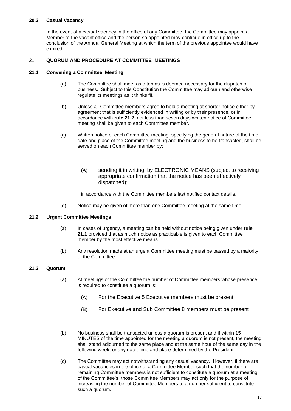# <span id="page-20-0"></span>**20.3 Casual Vacancy**

In the event of a casual vacancy in the office of any Committee, the Committee may appoint a Member to the vacant office and the person so appointed may continue in office up to the conclusion of the Annual General Meeting at which the term of the previous appointee would have expired.

# <span id="page-20-1"></span>21. **QUORUM AND PROCEDURE AT COMMITTEE MEETINGS**

#### <span id="page-20-2"></span>**21.1 Convening a Committee Meeting**

- (a) The Committee shall meet as often as is deemed necessary for the dispatch of business. Subject to this Constitution the Committee may adjourn and otherwise regulate its meetings as it thinks fit.
- (b) Unless all Committee members agree to hold a meeting at shorter notice either by agreement that is sufficiently evidenced in writing or by their presence, or in accordance with **rule [21.2](#page-20-3)**, not less than seven days written notice of Committee meeting shall be given to each Committee member.
- (c) Written notice of each Committee meeting, specifying the general nature of the time, date and place of the Committee meeting and the business to be transacted, shall be served on each Committee member by:
	- (A) sending it in writing, by ELECTRONIC MEANS (subject to receiving appropriate confirmation that the notice has been effectively dispatched);

in accordance with the Committee members last notified contact details.

(d) Notice may be given of more than one Committee meeting at the same time.

# <span id="page-20-3"></span>**21.2 Urgent Committee Meetings**

- (a) In cases of urgency, a meeting can be held without notice being given under **rule [21.1](#page-20-2)** provided that as much notice as practicable is given to each Committee member by the most effective means.
- (b) Any resolution made at an urgent Committee meeting must be passed by a majority of the Committee.

# <span id="page-20-4"></span>**21.3 Quorum**

- (a) At meetings of the Committee the number of Committee members whose presence is required to constitute a quorum is:
	- (A) For the Executive 5 Executive members must be present
	- (B) For Executive and Sub Committee 8 members must be present
- (b) No business shall be transacted unless a quorum is present and if within 15 MINUTES of the time appointed for the meeting a quorum is not present, the meeting shall stand adjourned to the same place and at the same hour of the same day in the following week, or any date, time and place determined by the President.
- (c) The Committee may act notwithstanding any casual vacancy. However, if there are casual vacancies in the office of a Committee Member such that the number of remaining Committee members is not sufficient to constitute a quorum at a meeting of the Committee's, those Committee Members may act only for the purpose of increasing the number of Committee Members to a number sufficient to constitute such a quorum.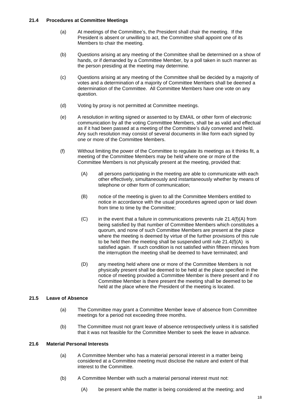#### <span id="page-21-0"></span>**21.4 Procedures at Committee Meetings**

- (a) At meetings of the Committee's, the President shall chair the meeting. If the President is absent or unwilling to act, the Committee shall appoint one of its Members to chair the meeting.
- (b) Questions arising at any meeting of the Committee shall be determined on a show of hands, or if demanded by a Committee Member, by a poll taken in such manner as the person presiding at the meeting may determine.
- (c) Questions arising at any meeting of the Committee shall be decided by a majority of votes and a determination of a majority of Committee Members shall be deemed a determination of the Committee. All Committee Members have one vote on any question.
- (d) Voting by proxy is not permitted at Committee meetings.
- (e) A resolution in writing signed or assented to by EMAIL or other form of electronic communication by all the voting Committtee Members, shall be as valid and effectual as if it had been passed at a meeting of the Committee's duly convened and held. Any such resolution may consist of several documents in like form each signed by one or more of the Committee Members.
- <span id="page-21-3"></span>(f) Without limiting the power of the Committee to regulate its meetings as it thinks fit, a meeting of the Committee Members may be held where one or more of the Committee Members is not physically present at the meeting, provided that:
	- (A) all persons participating in the meeting are able to communicate with each other effectively, simultaneously and instantaneously whether by means of telephone or other form of communication;
	- (B) notice of the meeting is given to all the Committee Members entitled to notice in accordance with the usual procedures agreed upon or laid down from time to time by the Committee;
	- $(C)$  in the event that a failure in communications prevents rule [21.4\(f\)\(A\)](#page-21-3) from being satisfied by that number of Committee Members which constitutes a quorum, and none of such Committee Members are present at the place where the meeting is deemed by virtue of the further provisions of this rule to be held then the meeting shall be suspended until rule [21.4\(f\)\(A\)](#page-21-3) is satisfied again. If such condition is not satisfied within fifteen minutes from the interruption the meeting shall be deemed to have terminated; and
	- (D) any meeting held where one or more of the Committee Members is not physically present shall be deemed to be held at the place specified in the notice of meeting provided a Committee Member is there present and if no Committee Member is there present the meeting shall be deemed to be held at the place where the President of the meeting is located.

# <span id="page-21-1"></span>**21.5 Leave of Absence**

- (a) The Committee may grant a Committee Member leave of absence from Committee meetings for a period not exceeding three months.
- (b) The Committee must not grant leave of absence retrospectively unless it is satisfied that it was not feasible for the Committee Member to seek the leave in advance.

# <span id="page-21-2"></span>**21.6 Material Personal Interests**

- (a) A Committee Member who has a material personal interest in a matter being considered at a Committee meeting must disclose the nature and extent of that interest to the Committee.
- (b) A Committee Member with such a material personal interest must not:
	- (A) be present while the matter is being considered at the meeting; and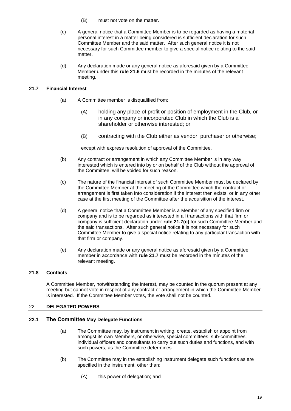- (B) must not vote on the matter.
- (c) A general notice that a Committee Member is to be regarded as having a material personal interest in a matter being considered is sufficient declaration for such Committee Member and the said matter. After such general notice it is not necessary for such Committee member to give a special notice relating to the said matter.
- (d) Any declaration made or any general notice as aforesaid given by a Committee Member under this **rule [21.6](#page-21-2)** must be recorded in the minutes of the relevant meeting.

# <span id="page-22-0"></span>**21.7 Financial Interest**

- (a) A Committee member is disqualified from:
	- (A) holding any place of profit or position of employment in the Club, or in any company or incorporated Club in which the Club is a shareholder or otherwise interested; or
	- (B) contracting with the Club either as vendor, purchaser or otherwise;

except with express resolution of approval of the Committee.

- (b) Any contract or arrangement in which any Committee Member is in any way interested which is entered into by or on behalf of the Club without the approval of the Committee, will be voided for such reason.
- <span id="page-22-4"></span>(c) The nature of the financial interest of such Committee Member must be declared by the Committee Member at the meeting of the Committee which the contract or arrangement is first taken into consideration if the interest then exists, or in any other case at the first meeting of the Committee after the acquisition of the interest.
- (d) A general notice that a Committee Member is a Member of any specified firm or company and is to be regarded as interested in all transactions with that firm or company is sufficient declaration under **rule [21.7\(c\)](#page-22-4)** for such Committee Member and the said transactions. After such general notice it is not necessary for such Committee Member to give a special notice relating to any particular transaction with that firm or company.
- (e) Any declaration made or any general notice as aforesaid given by a Committee member in accordance with **rule [21.7](#page-22-0)** must be recorded in the minutes of the relevant meeting.

# <span id="page-22-1"></span>**21.8 Conflicts**

A Committee Member, notwithstanding the interest, may be counted in the quorum present at any meeting but cannot vote in respect of any contract or arrangement in which the Committee Member is interested. If the Committee Member votes, the vote shall not be counted.

# <span id="page-22-2"></span>22. **DELEGATED POWERS**

# <span id="page-22-3"></span>**22.1 The Committee May Delegate Functions**

- (a) The Committee may, by instrument in writing, create, establish or appoint from amongst its own Members, or otherwise, special committees, sub-committees, individual officers and consultants to carry out such duties and functions, and with such powers, as the Committee determines.
- (b) The Committee may in the establishing instrument delegate such functions as are specified in the instrument, other than:
	- (A) this power of delegation; and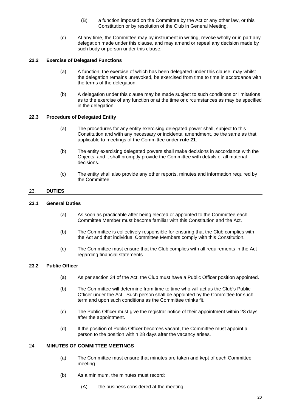- (B) a function imposed on the Committee by the Act or any other law, or this Constitution or by resolution of the Club in General Meeting.
- (c) At any time, the Committee may by instrument in writing, revoke wholly or in part any delegation made under this clause, and may amend or repeal any decision made by such body or person under this clause.

# <span id="page-23-0"></span>**22.2 Exercise of Delegated Functions**

- (a) A function, the exercise of which has been delegated under this clause, may whilst the delegation remains unrevoked, be exercised from time to time in accordance with the terms of the delegation.
- (b) A delegation under this clause may be made subject to such conditions or limitations as to the exercise of any function or at the time or circumstances as may be specified in the delegation.

# <span id="page-23-1"></span>**22.3 Procedure of Delegated Entity**

- (a) The procedures for any entity exercising delegated power shall, subject to this Constitution and with any necessary or incidental amendment, be the same as that applicable to meetings of the Committee under **rule [21](#page-20-1)**.
- (b) The entity exercising delegated powers shall make decisions in accordance with the Objects, and it shall promptly provide the Committee with details of all material decisions.
- (c) The entity shall also provide any other reports, minutes and information required by the Committee.

#### <span id="page-23-2"></span>23. **DUTIES**

#### <span id="page-23-3"></span>**23.1 General Duties**

- (a) As soon as practicable after being elected or appointed to the Committee each Committee Member must become familiar with this Constitution and the Act.
- (b) The Committee is collectively responsible for ensuring that the Club complies with the Act and that individual Committee Members comply with this Constitution.
- (c) The Committee must ensure that the Club complies with all requirements in the Act regarding financial statements.

# <span id="page-23-4"></span>**23.2 Public Officer**

- (a) As per section 34 of the Act, the Club must have a Public Officer position appointed.
- (b) The Committee will determine from time to time who will act as the Club's Public Officer under the Act. Such person shall be appointed by the Committee for such term and upon such conditions as the Committee thinks fit.
- (c) The Public Officer must give the registrar notice of their appointment within 28 days after the appointment.
- (d) If the position of Public Officer becomes vacant, the Committee must appoint a person to the position within 28 days after the vacancy arises.

#### <span id="page-23-5"></span>24. **MINUTES OF COMMITTEE MEETINGS**

- (a) The Committee must ensure that minutes are taken and kept of each Committee meeting.
- (b) As a minimum, the minutes must record:
	- (A) the business considered at the meeting;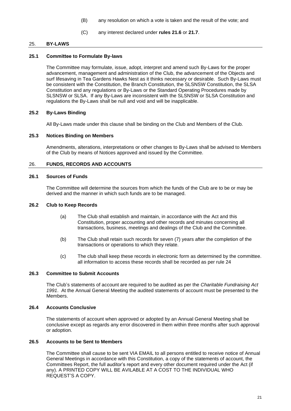- (B) any resolution on which a vote is taken and the result of the vote; and
- (C) any interest declared under **rules [21.6](#page-21-2)** or **[21.7](#page-22-0)**.

# <span id="page-24-0"></span>25. **BY-LAWS**

#### **25.1 Committee to Formulate By-laws**

<span id="page-24-1"></span>The Committee may formulate, issue, adopt, interpret and amend such By-Laws for the proper advancement, management and administration of the Club, the advancement of the Objects and surf lifesaving in Tea Gardens Hawks Nest as it thinks necessary or desirable. Such By-Laws must be consistent with the Constitution, the Branch Constitution, the SLSNSW Constitution, the SLSA Constitution and any regulations or By-Laws or the Standard Operating Procedures made by SLSNSW or SLSA. If any By-Laws are inconsistent with the SLSNSW or SLSA Constitution and regulations the By-Laws shall be null and void and will be inapplicable.

#### <span id="page-24-2"></span>**25.2 By-Laws Binding**

All By-Laws made under this clause shall be binding on the Club and Members of the Club.

#### <span id="page-24-3"></span>**25.3 Notices Binding on Members**

Amendments, alterations, interpretations or other changes to By-Laws shall be advised to Members of the Club by means of Notices approved and issued by the Committee.

# <span id="page-24-4"></span>26. **FUNDS, RECORDS AND ACCOUNTS**

#### <span id="page-24-5"></span>**26.1 Sources of Funds**

The Committee will determine the sources from which the funds of the Club are to be or may be derived and the manner in which such funds are to be managed.

#### <span id="page-24-6"></span>**26.2 Club to Keep Records**

- (a) The Club shall establish and maintain, in accordance with the Act and this Constitution, proper accounting and other records and minutes concerning all transactions, business, meetings and dealings of the Club and the Committee.
- (b) The Club shall retain such records for seven (7) years after the completion of the transactions or operations to which they relate.
- (c) The club shall keep these records in electronic form as determined by the committee. all information to access these records shall be recorded as per rule 24

#### <span id="page-24-7"></span>**26.3 Committee to Submit Accounts**

The Club's statements of account are required to be audited as per the *Charitable Fundraising Act 1991*. At the Annual General Meeting the audited statements of account must be presented to the Members.

# <span id="page-24-8"></span>**26.4 Accounts Conclusive**

The statements of account when approved or adopted by an Annual General Meeting shall be conclusive except as regards any error discovered in them within three months after such approval or adoption.

#### <span id="page-24-9"></span>**26.5 Accounts to be Sent to Members**

The Committee shall cause to be sent VIA EMAIL to all persons entitled to receive notice of Annual General Meetings in accordance with this Constitution, a copy of the statements of account, the Committees Report, the full auditor's report and every other document required under the Act (if any). A PRINTED COPY WILL BE AVILABLE AT A COST TO THE INDIVIDUAL WHO REQUEST'S A COPY.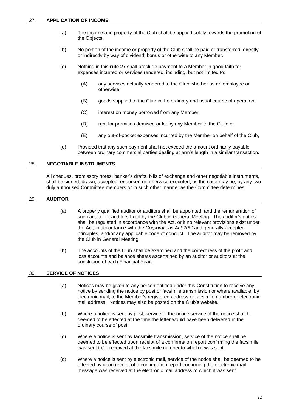- <span id="page-25-0"></span>(a) The income and property of the Club shall be applied solely towards the promotion of the Objects.
- (b) No portion of the income or property of the Club shall be paid or transferred, directly or indirectly by way of dividend, bonus or otherwise to any Member.
- (c) Nothing in this **rule 27** shall preclude payment to a Member in good faith for expenses incurred or services rendered, including, but not limited to:
	- (A) any services actually rendered to the Club whether as an employee or otherwise;
	- (B) goods supplied to the Club in the ordinary and usual course of operation;
	- (C) interest on money borrowed from any Member;
	- (D) rent for premises demised or let by any Member to the Club; or
	- (E) any out-of-pocket expenses incurred by the Member on behalf of the Club,
- (d) Provided that any such payment shall not exceed the amount ordinarily payable between ordinary commercial parties dealing at arm's length in a similar transaction.

# <span id="page-25-1"></span>28. **NEGOTIABLE INSTRUMENTS**

All cheques, promissory notes, banker's drafts, bills of exchange and other negotiable instruments, shall be signed, drawn, accepted, endorsed or otherwise executed, as the case may be, by any two duly authorised Committee members or in such other manner as the Committee determines.

#### <span id="page-25-2"></span>29. **AUDITOR**

- (a) A properly qualified auditor or auditors shall be appointed, and the remuneration of such auditor or auditors fixed by the Club in General Meeting. The auditor's duties shall be regulated in accordance with the Act, or if no relevant provisions exist under the Act, in accordance with the *Corporations Act 2001*and generally accepted principles, and/or any applicable code of conduct. The auditor may be removed by the Club in General Meeting.
- (b) The accounts of the Club shall be examined and the correctness of the profit and loss accounts and balance sheets ascertained by an auditor or auditors at the conclusion of each Financial Year.

# <span id="page-25-3"></span>30. **SERVICE OF NOTICES**

- (a) Notices may be given to any person entitled under this Constitution to receive any notice by sending the notice by post or facsimile transmission or where available, by electronic mail, to the Member's registered address or facsimile number or electronic mail address. Notices may also be posted on the Club's website.
- (b) Where a notice is sent by post, service of the notice service of the notice shall be deemed to be effected at the time the letter would have been delivered in the ordinary course of post.
- (c) Where a notice is sent by facsimile transmission, service of the notice shall be deemed to be effected upon receipt of a confirmation report confirming the facsimile was sent to/or received at the facsimile number to which it was sent.
- (d) Where a notice is sent by electronic mail, service of the notice shall be deemed to be effected by upon receipt of a confirmation report confirming the electronic mail message was received at the electronic mail address to which it was sent.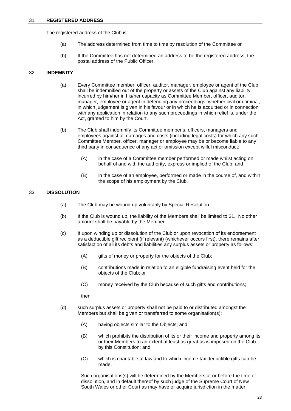#### <span id="page-26-0"></span>31. **REGISTERED ADDRESS**

The registered address of the Club is:

- (a) The address determined from time to time by resolution of the Committee or
- (b) If the Committee has not determined an address to be the registered address, the postal address of the Public Officer.

#### <span id="page-26-1"></span>32. **INDEMNITY**

- (a) Every Committee member, officer, auditor, manager, employee or agent of the Club shall be indemnified out of the property or assets of the Club against any liability incurred by him/her in his/her capacity as Committee Member, officer, auditor, manager, employee or agent in defending any proceedings, whether civil or criminal, in which judgement is given in his favour or in which he is acquitted or in connection with any application in relation to any such proceedings in which relief is, under the Act, granted to him by the Court.
- (b) The Club shall indemnify its Committee member's, officers, managers and employees against all damages and costs (including legal costs) for which any such Committee Member, officer, manager or employee may be or become liable to any third party in consequence of any act or omission except wilful misconduct:
	- (A) in the case of a Committee member performed or made whilst acting on behalf of and with the authority, express or implied of the Club; and
	- (B) in the case of an employee, performed or made in the course of, and within the scope of his employment by the Club.

#### <span id="page-26-2"></span>33. **DISSOLUTION**

- (a) The Club may be wound up voluntarily by Special Resolution.
- (b) If the Club is wound up, the liability of the Members shall be limited to \$1. No other amount shall be payable by the Member.
- (c) If upon winding up or dissolution of the Club or upon revocation of its endorsement as a deductible gift recipient (if relevant) (whichever occurs first), there remains after satisfaction of all its debts and liabilities any surplus assets or property as follows:
	- (A) gifts of money or property for the objects of the Club;
	- (B) contributions made in relation to an eligible fundraising event held for the objects of the Club; or
	- (C) money received by the Club because of such gifts and contributions;

then

- (d) such surplus assets or property shall not be paid to or distributed amongst the Members but shall be given or transferred to some organisation(s):
	- (A) having objects similar to the Objects; and
	- (B) which prohibits the distribution of its or their income and property among its or their Members to an extent at least as great as is imposed on the Club by this Constitution; and
	- (C) which is charitable at law and to which income tax deductible gifts can be made.

Such organisations(s) will be determined by the Members at or before the time of dissolution, and in default thereof by such judge of the Supreme Court of New South Wales or other Court as may have or acquire jurisdiction in the matter.